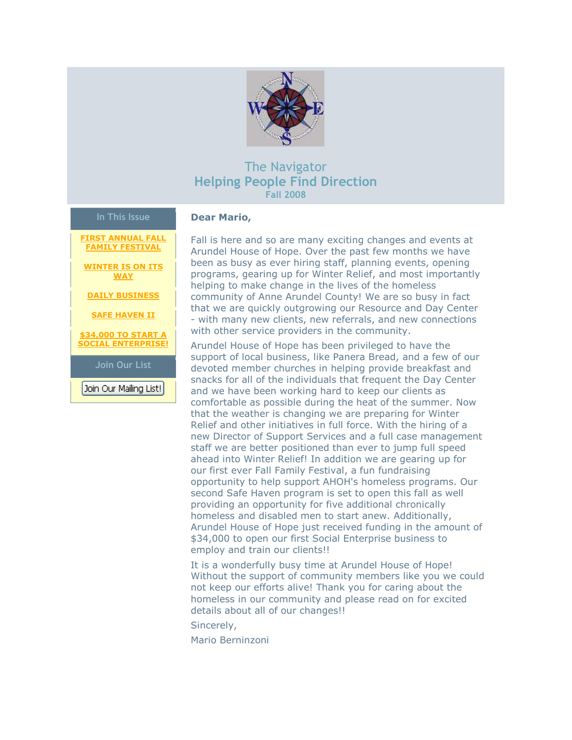

# The Navigator **Helping People Find Direction Fall 2008**

#### **In This Issue**

**[FIRST ANNUAL FALL](https://ui.constantcontact.com/visualeditor/visual_editor_preview.jsp?agent.uid=1102232262411&fromView=previewFromDetail&popin=true&previewFromDetail=true&previewFromSent=true&pageName=ecampaign.ve.edit#LETTER.BLOCK6)  [FAMILY FESTIVAL](https://ui.constantcontact.com/visualeditor/visual_editor_preview.jsp?agent.uid=1102232262411&fromView=previewFromDetail&popin=true&previewFromDetail=true&previewFromSent=true&pageName=ecampaign.ve.edit#LETTER.BLOCK6)**

**[WINTER IS ON ITS](https://ui.constantcontact.com/visualeditor/visual_editor_preview.jsp?agent.uid=1102232262411&fromView=previewFromDetail&popin=true&previewFromDetail=true&previewFromSent=true&pageName=ecampaign.ve.edit#LETTER.BLOCK7)  [WAY](https://ui.constantcontact.com/visualeditor/visual_editor_preview.jsp?agent.uid=1102232262411&fromView=previewFromDetail&popin=true&previewFromDetail=true&previewFromSent=true&pageName=ecampaign.ve.edit#LETTER.BLOCK7)**

**[DAILY BUSINESS](https://ui.constantcontact.com/visualeditor/visual_editor_preview.jsp?agent.uid=1102232262411&fromView=previewFromDetail&popin=true&previewFromDetail=true&previewFromSent=true&pageName=ecampaign.ve.edit#LETTER.BLOCK8)**

**[SAFE HAVEN II](https://ui.constantcontact.com/visualeditor/visual_editor_preview.jsp?agent.uid=1102232262411&fromView=previewFromDetail&popin=true&previewFromDetail=true&previewFromSent=true&pageName=ecampaign.ve.edit#LETTER.BLOCK9)**

**[\\$34,000 TO START A](https://ui.constantcontact.com/visualeditor/visual_editor_preview.jsp?agent.uid=1102232262411&fromView=previewFromDetail&popin=true&previewFromDetail=true&previewFromSent=true&pageName=ecampaign.ve.edit#LETTER.BLOCK10)  [SOCIAL ENTERPRISE!](https://ui.constantcontact.com/visualeditor/visual_editor_preview.jsp?agent.uid=1102232262411&fromView=previewFromDetail&popin=true&previewFromDetail=true&previewFromSent=true&pageName=ecampaign.ve.edit#LETTER.BLOCK10)**

**Join Our List**

Join Our Mailing List!

**Dear Mario,**

Fall is here and so are many exciting changes and events at Arundel House of Hope. Over the past few months we have been as busy as ever hiring staff, planning events, opening programs, gearing up for Winter Relief, and most importantly helping to make change in the lives of the homeless community of Anne Arundel County! We are so busy in fact that we are quickly outgrowing our Resource and Day Center - with many new clients, new referrals, and new connections with other service providers in the community.

Arundel House of Hope has been privileged to have the support of local business, like Panera Bread, and a few of our devoted member churches in helping provide breakfast and snacks for all of the individuals that frequent the Day Center and we have been working hard to keep our clients as comfortable as possible during the heat of the summer. Now that the weather is changing we are preparing for Winter Relief and other initiatives in full force. With the hiring of a new Director of Support Services and a full case management staff we are better positioned than ever to jump full speed ahead into Winter Relief! In addition we are gearing up for our first ever Fall Family Festival, a fun fundraising opportunity to help support AHOH's homeless programs. Our second Safe Haven program is set to open this fall as well providing an opportunity for five additional chronically homeless and disabled men to start anew. Additionally, Arundel House of Hope just received funding in the amount of \$34,000 to open our first Social Enterprise business to employ and train our clients!!

It is a wonderfully busy time at Arundel House of Hope! Without the support of community members like you we could not keep our efforts alive! Thank you for caring about the homeless in our community and please read on for excited details about all of our changes!!

Sincerely,

Mario Berninzoni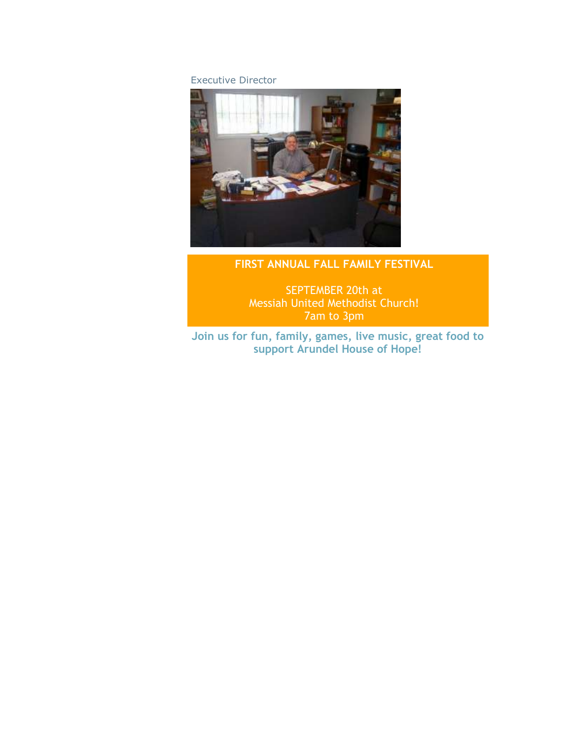Executive Director



# **FIRST ANNUAL FALL FAMILY FESTIVAL**

SEPTEMBER 20th at Messiah United Methodist Church! 7am to 3pm

**Join us for fun, family, games, live music, great food to support Arundel House of Hope!**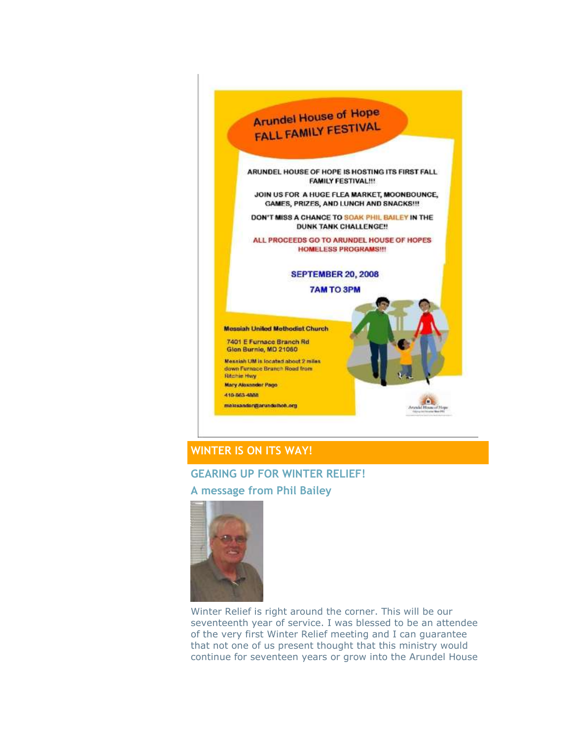

# **WINTER IS ON ITS WAY!**

#### **GEARING UP FOR WINTER RELIEF!**

**A message from Phil Bailey** 



Winter Relief is right around the corner. This will be our seventeenth year of service. I was blessed to be an attendee of the very first Winter Relief meeting and I can guarantee that not one of us present thought that this ministry would continue for seventeen years or grow into the Arundel House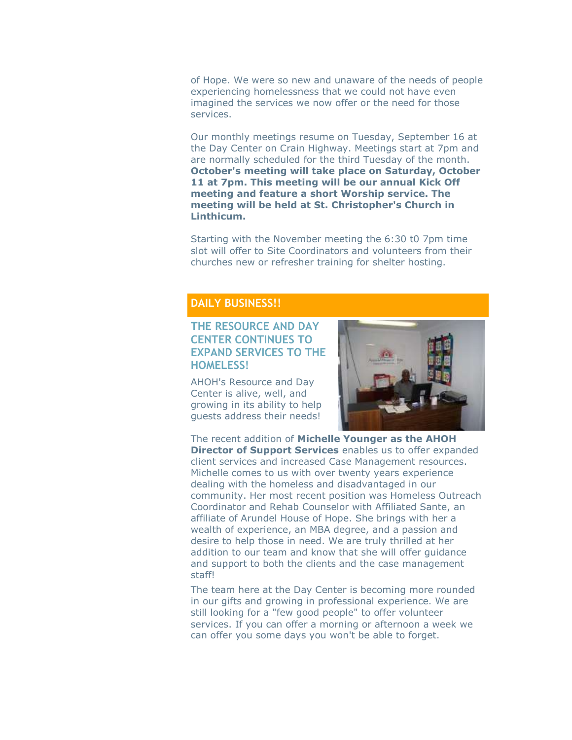of Hope. We were so new and unaware of the needs of people experiencing homelessness that we could not have even imagined the services we now offer or the need for those services.

Our monthly meetings resume on Tuesday, September 16 at the Day Center on Crain Highway. Meetings start at 7pm and are normally scheduled for the third Tuesday of the month. **October's meeting will take place on Saturday, October 11 at 7pm. This meeting will be our annual Kick Off meeting and feature a short Worship service. The meeting will be held at St. Christopher's Church in Linthicum.**

Starting with the November meeting the 6:30 t0 7pm time slot will offer to Site Coordinators and volunteers from their churches new or refresher training for shelter hosting.

#### **DAILY BUSINESS!!**

### **THE RESOURCE AND DAY CENTER CONTINUES TO EXPAND SERVICES TO THE HOMELESS!**

AHOH's Resource and Day Center is alive, well, and growing in its ability to help guests address their needs!



The recent addition of **Michelle Younger as the AHOH Director of Support Services** enables us to offer expanded client services and increased Case Management resources. Michelle comes to us with over twenty years experience dealing with the homeless and disadvantaged in our community. Her most recent position was Homeless Outreach Coordinator and Rehab Counselor with Affiliated Sante, an affiliate of Arundel House of Hope. She brings with her a wealth of experience, an MBA degree, and a passion and desire to help those in need. We are truly thrilled at her addition to our team and know that she will offer guidance and support to both the clients and the case management staff!

The team here at the Day Center is becoming more rounded in our gifts and growing in professional experience. We are still looking for a "few good people" to offer volunteer services. If you can offer a morning or afternoon a week we can offer you some days you won't be able to forget.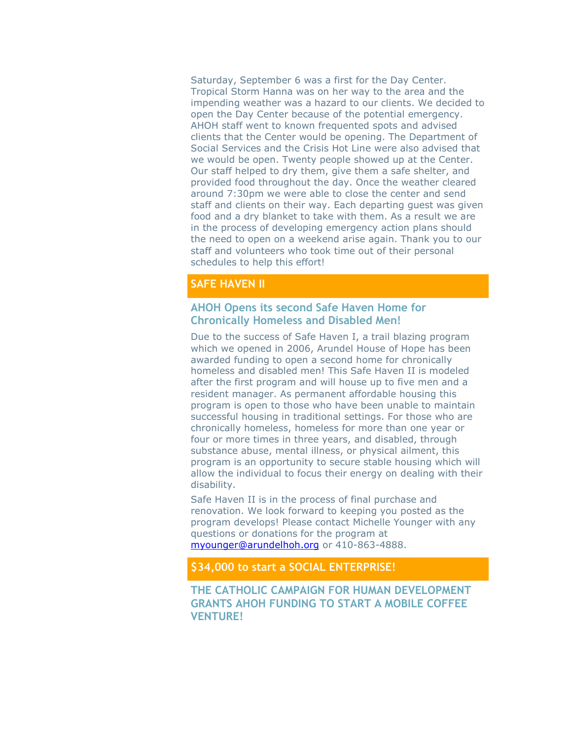Saturday, September 6 was a first for the Day Center. Tropical Storm Hanna was on her way to the area and the impending weather was a hazard to our clients. We decided to open the Day Center because of the potential emergency. AHOH staff went to known frequented spots and advised clients that the Center would be opening. The Department of Social Services and the Crisis Hot Line were also advised that we would be open. Twenty people showed up at the Center. Our staff helped to dry them, give them a safe shelter, and provided food throughout the day. Once the weather cleared around 7:30pm we were able to close the center and send staff and clients on their way. Each departing guest was given food and a dry blanket to take with them. As a result we are in the process of developing emergency action plans should the need to open on a weekend arise again. Thank you to our staff and volunteers who took time out of their personal schedules to help this effort!

## **SAFE HAVEN II**

### **AHOH Opens its second Safe Haven Home for Chronically Homeless and Disabled Men!**

Due to the success of Safe Haven I, a trail blazing program which we opened in 2006, Arundel House of Hope has been awarded funding to open a second home for chronically homeless and disabled men! This Safe Haven II is modeled after the first program and will house up to five men and a resident manager. As permanent affordable housing this program is open to those who have been unable to maintain successful housing in traditional settings. For those who are chronically homeless, homeless for more than one year or four or more times in three years, and disabled, through substance abuse, mental illness, or physical ailment, this program is an opportunity to secure stable housing which will allow the individual to focus their energy on dealing with their disability.

Safe Haven II is in the process of final purchase and renovation. We look forward to keeping you posted as the program develops! Please contact Michelle Younger with any questions or donations for the program at [myounger@arundelhoh.org](mailto:myounger@arundelhoh.org) or 410-863-4888.

#### **\$34,000 to start a SOCIAL ENTERPRISE!**

**THE CATHOLIC CAMPAIGN FOR HUMAN DEVELOPMENT GRANTS AHOH FUNDING TO START A MOBILE COFFEE VENTURE!**